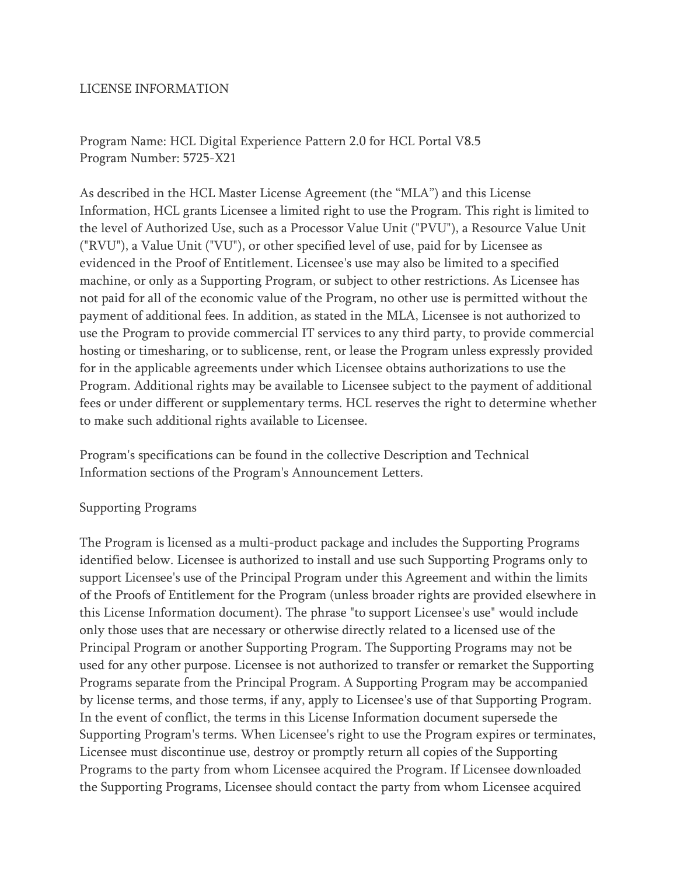#### LICENSE INFORMATION

Program Name: HCL Digital Experience Pattern 2.0 for HCL Portal V8.5 Program Number: 5725-X21

As described in the HCL Master License Agreement (the "MLA") and this License Information, HCL grants Licensee a limited right to use the Program. This right is limited to the level of Authorized Use, such as a Processor Value Unit ("PVU"), a Resource Value Unit ("RVU"), a Value Unit ("VU"), or other specified level of use, paid for by Licensee as evidenced in the Proof of Entitlement. Licensee's use may also be limited to a specified machine, or only as a Supporting Program, or subject to other restrictions. As Licensee has not paid for all of the economic value of the Program, no other use is permitted without the payment of additional fees. In addition, as stated in the MLA, Licensee is not authorized to use the Program to provide commercial IT services to any third party, to provide commercial hosting or timesharing, or to sublicense, rent, or lease the Program unless expressly provided for in the applicable agreements under which Licensee obtains authorizations to use the Program. Additional rights may be available to Licensee subject to the payment of additional fees or under different or supplementary terms. HCL reserves the right to determine whether to make such additional rights available to Licensee.

Program's specifications can be found in the collective Description and Technical Information sections of the Program's Announcement Letters.

#### Supporting Programs

The Program is licensed as a multi-product package and includes the Supporting Programs identified below. Licensee is authorized to install and use such Supporting Programs only to support Licensee's use of the Principal Program under this Agreement and within the limits of the Proofs of Entitlement for the Program (unless broader rights are provided elsewhere in this License Information document). The phrase "to support Licensee's use" would include only those uses that are necessary or otherwise directly related to a licensed use of the Principal Program or another Supporting Program. The Supporting Programs may not be used for any other purpose. Licensee is not authorized to transfer or remarket the Supporting Programs separate from the Principal Program. A Supporting Program may be accompanied by license terms, and those terms, if any, apply to Licensee's use of that Supporting Program. In the event of conflict, the terms in this License Information document supersede the Supporting Program's terms. When Licensee's right to use the Program expires or terminates, Licensee must discontinue use, destroy or promptly return all copies of the Supporting Programs to the party from whom Licensee acquired the Program. If Licensee downloaded the Supporting Programs, Licensee should contact the party from whom Licensee acquired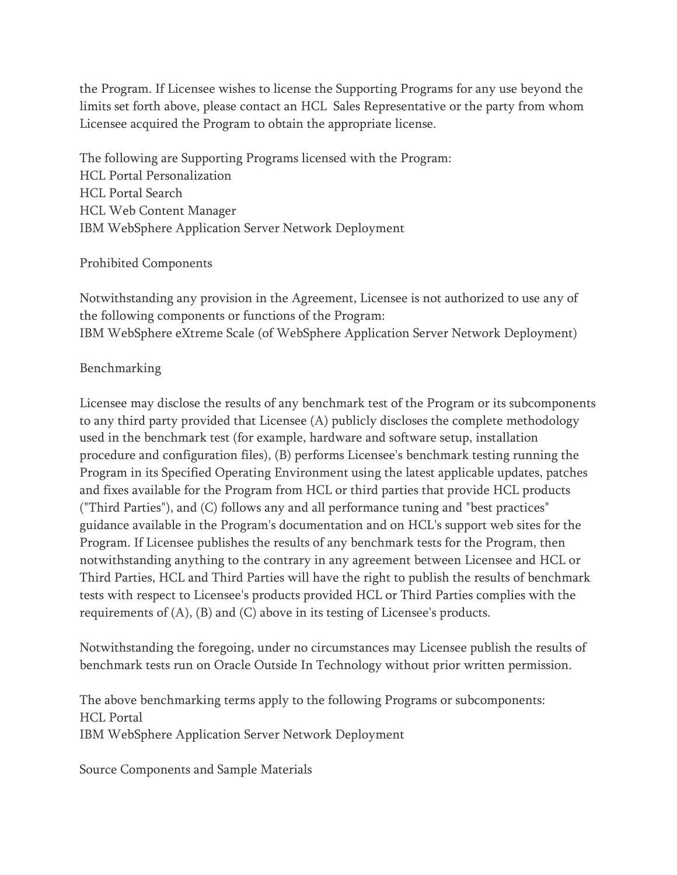the Program. If Licensee wishes to license the Supporting Programs for any use beyond the limits set forth above, please contact an HCL Sales Representative or the party from whom Licensee acquired the Program to obtain the appropriate license.

The following are Supporting Programs licensed with the Program: HCL Portal Personalization HCL Portal Search HCL Web Content Manager IBM WebSphere Application Server Network Deployment

### Prohibited Components

Notwithstanding any provision in the Agreement, Licensee is not authorized to use any of the following components or functions of the Program: IBM WebSphere eXtreme Scale (of WebSphere Application Server Network Deployment)

# Benchmarking

Licensee may disclose the results of any benchmark test of the Program or its subcomponents to any third party provided that Licensee (A) publicly discloses the complete methodology used in the benchmark test (for example, hardware and software setup, installation procedure and configuration files), (B) performs Licensee's benchmark testing running the Program in its Specified Operating Environment using the latest applicable updates, patches and fixes available for the Program from HCL or third parties that provide HCL products ("Third Parties"), and (C) follows any and all performance tuning and "best practices" guidance available in the Program's documentation and on HCL's support web sites for the Program. If Licensee publishes the results of any benchmark tests for the Program, then notwithstanding anything to the contrary in any agreement between Licensee and HCL or Third Parties, HCL and Third Parties will have the right to publish the results of benchmark tests with respect to Licensee's products provided HCL or Third Parties complies with the requirements of (A), (B) and (C) above in its testing of Licensee's products.

Notwithstanding the foregoing, under no circumstances may Licensee publish the results of benchmark tests run on Oracle Outside In Technology without prior written permission.

The above benchmarking terms apply to the following Programs or subcomponents: HCL Portal IBM WebSphere Application Server Network Deployment

Source Components and Sample Materials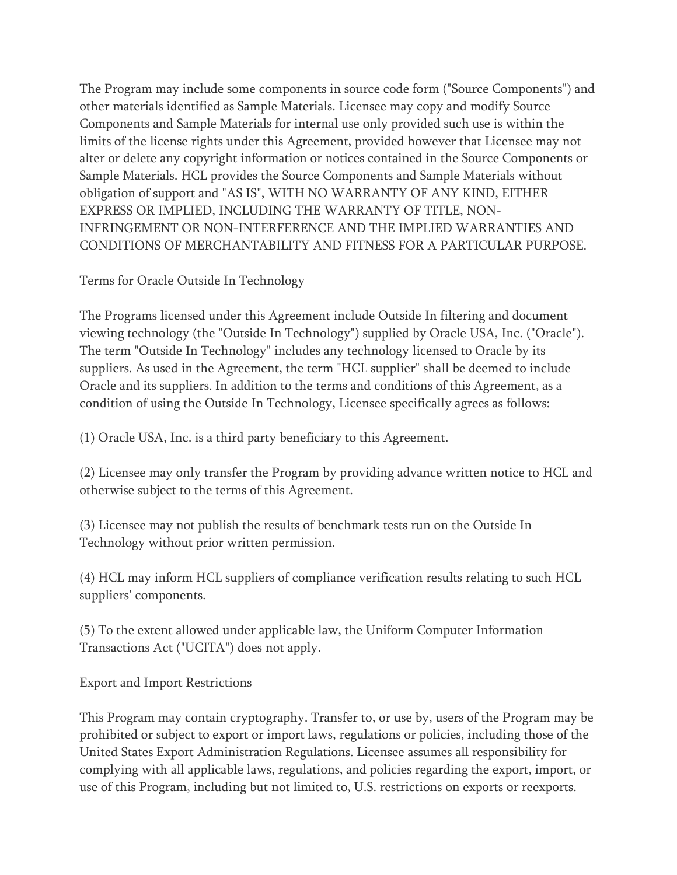The Program may include some components in source code form ("Source Components") and other materials identified as Sample Materials. Licensee may copy and modify Source Components and Sample Materials for internal use only provided such use is within the limits of the license rights under this Agreement, provided however that Licensee may not alter or delete any copyright information or notices contained in the Source Components or Sample Materials. HCL provides the Source Components and Sample Materials without obligation of support and "AS IS", WITH NO WARRANTY OF ANY KIND, EITHER EXPRESS OR IMPLIED, INCLUDING THE WARRANTY OF TITLE, NON-INFRINGEMENT OR NON-INTERFERENCE AND THE IMPLIED WARRANTIES AND CONDITIONS OF MERCHANTABILITY AND FITNESS FOR A PARTICULAR PURPOSE.

Terms for Oracle Outside In Technology

The Programs licensed under this Agreement include Outside In filtering and document viewing technology (the "Outside In Technology") supplied by Oracle USA, Inc. ("Oracle"). The term "Outside In Technology" includes any technology licensed to Oracle by its suppliers. As used in the Agreement, the term "HCL supplier" shall be deemed to include Oracle and its suppliers. In addition to the terms and conditions of this Agreement, as a condition of using the Outside In Technology, Licensee specifically agrees as follows:

(1) Oracle USA, Inc. is a third party beneficiary to this Agreement.

(2) Licensee may only transfer the Program by providing advance written notice to HCL and otherwise subject to the terms of this Agreement.

(3) Licensee may not publish the results of benchmark tests run on the Outside In Technology without prior written permission.

(4) HCL may inform HCL suppliers of compliance verification results relating to such HCL suppliers' components.

(5) To the extent allowed under applicable law, the Uniform Computer Information Transactions Act ("UCITA") does not apply.

Export and Import Restrictions

This Program may contain cryptography. Transfer to, or use by, users of the Program may be prohibited or subject to export or import laws, regulations or policies, including those of the United States Export Administration Regulations. Licensee assumes all responsibility for complying with all applicable laws, regulations, and policies regarding the export, import, or use of this Program, including but not limited to, U.S. restrictions on exports or reexports.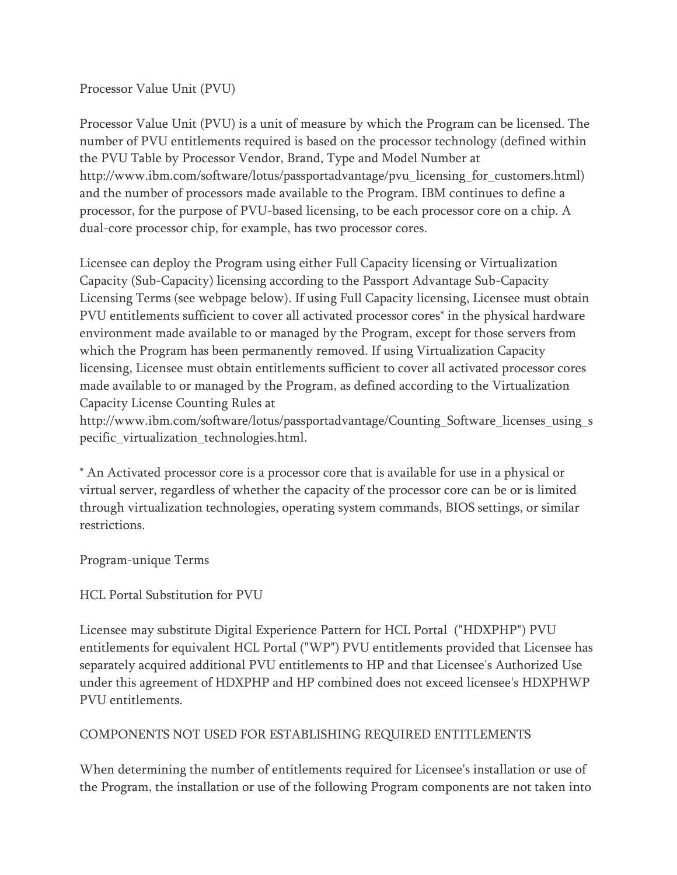### Processor Value Unit (PVU)

Processor Value Unit (PVU) is a unit of measure by which the Program can be licensed. The number of PVU entitlements required is based on the processor technology (defined within the PVU Table by Processor Vendor, Brand, Type and Model Number at http://www.ibm.com/software/lotus/passportadvantage/pvu\_licensing\_for\_customers.html) and the number of processors made available to the Program. IBM continues to define a processor, for the purpose of PVU-based licensing, to be each processor core on a chip. A dual-core processor chip, for example, has two processor cores.

Licensee can deploy the Program using either Full Capacity licensing or Virtualization Capacity (Sub-Capacity) licensing according to the Passport Advantage Sub-Capacity Licensing Terms (see webpage below). If using Full Capacity licensing, Licensee must obtain PVU entitlements sufficient to cover all activated processor cores\* in the physical hardware environment made available to or managed by the Program, except for those servers from which the Program has been permanently removed. If using Virtualization Capacity licensing, Licensee must obtain entitlements sufficient to cover all activated processor cores made available to or managed by the Program, as defined according to the Virtualization Capacity License Counting Rules at

http://www.ibm.com/software/lotus/passportadvantage/Counting\_Software\_licenses\_using\_s pecific\_virtualization\_technologies.html.

\* An Activated processor core is a processor core that is available for use in a physical or virtual server, regardless of whether the capacity of the processor core can be or is limited through virtualization technologies, operating system commands, BIOS settings, or similar restrictions.

Program-unique Terms

# HCL Portal Substitution for PVU

Licensee may substitute Digital Experience Pattern for HCL Portal ("HDXPHP") PVU entitlements for equivalent HCL Portal ("WP") PVU entitlements provided that Licensee has separately acquired additional PVU entitlements to HP and that Licensee's Authorized Use under this agreement of HDXPHP and HP combined does not exceed licensee's HDXPHWP PVU entitlements.

# COMPONENTS NOT USED FOR ESTABLISHING REQUIRED ENTITLEMENTS

When determining the number of entitlements required for Licensee's installation or use of the Program, the installation or use of the following Program components are not taken into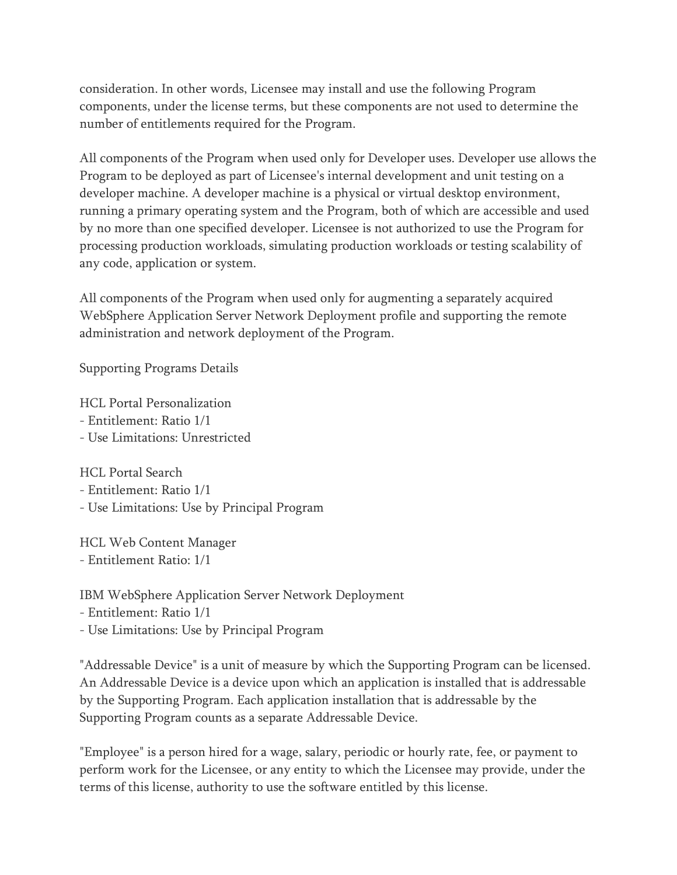consideration. In other words, Licensee may install and use the following Program components, under the license terms, but these components are not used to determine the number of entitlements required for the Program.

All components of the Program when used only for Developer uses. Developer use allows the Program to be deployed as part of Licensee's internal development and unit testing on a developer machine. A developer machine is a physical or virtual desktop environment, running a primary operating system and the Program, both of which are accessible and used by no more than one specified developer. Licensee is not authorized to use the Program for processing production workloads, simulating production workloads or testing scalability of any code, application or system.

All components of the Program when used only for augmenting a separately acquired WebSphere Application Server Network Deployment profile and supporting the remote administration and network deployment of the Program.

Supporting Programs Details

HCL Portal Personalization

- Entitlement: Ratio 1/1
- Use Limitations: Unrestricted

HCL Portal Search

- Entitlement: Ratio 1/1
- Use Limitations: Use by Principal Program

HCL Web Content Manager - Entitlement Ratio: 1/1

IBM WebSphere Application Server Network Deployment

- Entitlement: Ratio 1/1
- Use Limitations: Use by Principal Program

"Addressable Device" is a unit of measure by which the Supporting Program can be licensed. An Addressable Device is a device upon which an application is installed that is addressable by the Supporting Program. Each application installation that is addressable by the Supporting Program counts as a separate Addressable Device.

"Employee" is a person hired for a wage, salary, periodic or hourly rate, fee, or payment to perform work for the Licensee, or any entity to which the Licensee may provide, under the terms of this license, authority to use the software entitled by this license.